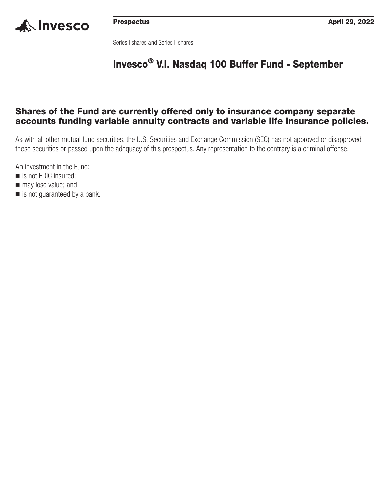

Series I shares and Series II shares

# **Invesco® V.I. Nasdaq 100 Buffer Fund - September**

## **Shares of the Fund are currently offered only to insurance company separate accounts funding variable annuity contracts and variable life insurance policies.**

As with all other mutual fund securities, the U.S. Securities and Exchange Commission (SEC) has not approved or disapproved these securities or passed upon the adequacy of this prospectus. Any representation to the contrary is a criminal offense.

An investment in the Fund:

- is not FDIC insured;
- $\blacksquare$  may lose value; and
- is not guaranteed by a bank.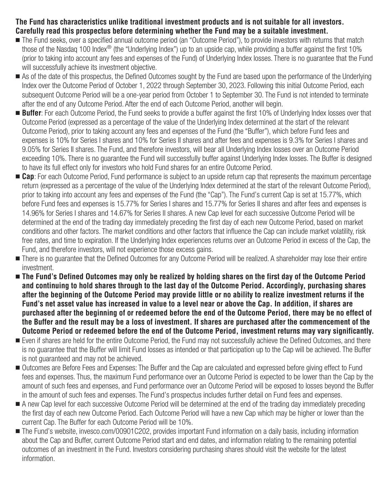## **The Fund has characteristics unlike traditional investment products and is not suitable for all investors. Carefully read this prospectus before determining whether the Fund may be a suitable investment.**

- The Fund seeks, over a specified annual outcome period (an "Outcome Period"), to provide investors with returns that match those of the Nasdag 100 Index<sup>®</sup> (the "Underlying Index") up to an upside cap, while providing a buffer against the first 10% (prior to taking into account any fees and expenses of the Fund) of Underlying Index losses. There is no guarantee that the Fund will successfully achieve its investment objective.
- As of the date of this prospectus, the Defined Outcomes sought by the Fund are based upon the performance of the Underlying Index over the Outcome Period of October 1, 2022 through September 30, 2023. Following this initial Outcome Period, each subsequent Outcome Period will be a one-year period from October 1 to September 30. The Fund is not intended to terminate after the end of any Outcome Period. After the end of each Outcome Period, another will begin.
- **Buffer**: For each Outcome Period, the Fund seeks to provide a buffer against the first 10% of Underlying Index losses over that Outcome Period (expressed as a percentage of the value of the Underlying Index determined at the start of the relevant Outcome Period), prior to taking account any fees and expenses of the Fund (the "Buffer"), which before Fund fees and expenses is 10% for Series I shares and 10% for Series II shares and after fees and expenses is 9.3% for Series I shares and 9.05% for Series II shares. The Fund, and therefore investors, will bear all Underlying Index losses over an Outcome Period exceeding 10%. There is no guarantee the Fund will successfully buffer against Underlying Index losses. The Buffer is designed to have its full effect only for investors who hold Fund shares for an entire Outcome Period.
- Cap: For each Outcome Period, Fund performance is subject to an upside return cap that represents the maximum percentage return (expressed as a percentage of the value of the Underlying Index determined at the start of the relevant Outcome Period), prior to taking into account any fees and expenses of the Fund (the "Cap"). The Fund's current Cap is set at 15.77%, which before Fund fees and expenses is 15.77% for Series I shares and 15.77% for Series II shares and after fees and expenses is 14.96% for Series I shares and 14.67% for Series II shares. A new Cap level for each successive Outcome Period will be determined at the end of the trading day immediately preceding the first day of each new Outcome Period, based on market conditions and other factors. The market conditions and other factors that influence the Cap can include market volatility, risk free rates, and time to expiration. If the Underlying Index experiences returns over an Outcome Period in excess of the Cap, the Fund, and therefore investors, will not experience those excess gains.
- There is no guarantee that the Defined Outcomes for any Outcome Period will be realized. A shareholder may lose their entire investment.
- **The Fund's Defined Outcomes may only be realized by holding shares on the first day of the Outcome Period and continuing to hold shares through to the last day of the Outcome Period. Accordingly, purchasing shares after the beginning of the Outcome Period may provide little or no ability to realize investment returns if the Fund's net asset value has increased in value to a level near or above the Cap. In addition, if shares are purchased after the beginning of or redeemed before the end of the Outcome Period, there may be no effect of the Buffer and the result may be a loss of investment. If shares are purchased after the commencement of the Outcome Period or redeemed before the end of the Outcome Period, investment returns may vary significantly.**
- Even if shares are held for the entire Outcome Period, the Fund may not successfully achieve the Defined Outcomes, and there is no guarantee that the Buffer will limit Fund losses as intended or that participation up to the Cap will be achieved. The Buffer is not guaranteed and may not be achieved.
- Outcomes are Before Fees and Expenses: The Buffer and the Cap are calculated and expressed before giving effect to Fund fees and expenses. Thus, the maximum Fund performance over an Outcome Period is expected to be lower than the Cap by the amount of such fees and expenses, and Fund performance over an Outcome Period will be exposed to losses beyond the Buffer in the amount of such fees and expenses. The Fund's prospectus includes further detail on Fund fees and expenses.
- A new Cap level for each successive Outcome Period will be determined at the end of the trading day immediately preceding the first day of each new Outcome Period. Each Outcome Period will have a new Cap which may be higher or lower than the current Cap. The Buffer for each Outcome Period will be 10%.
- The Fund's website, [invesco.com/00901C202,](http://invesco.com/00901C202) provides important Fund information on a daily basis, including information about the Cap and Buffer, current Outcome Period start and end dates, and information relating to the remaining potential outcomes of an investment in the Fund. Investors considering purchasing shares should visit the website for the latest information.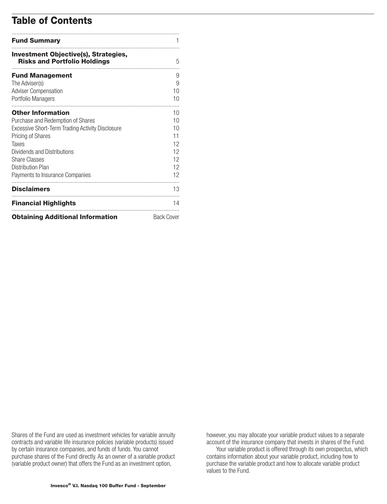## **Table of Contents**

| <b>Fund Summary</b>                                                                                                                                                                                                                                            |                                                    |
|----------------------------------------------------------------------------------------------------------------------------------------------------------------------------------------------------------------------------------------------------------------|----------------------------------------------------|
| <b>Investment Objective(s), Strategies,</b><br><b>Risks and Portfolio Holdings</b>                                                                                                                                                                             | 5                                                  |
| <b>Fund Management</b><br>The Adviser(s)<br><b>Adviser Compensation</b><br>Portfolio Managers                                                                                                                                                                  | 9<br>9<br>10<br>10                                 |
| <b>Other Information</b><br>Purchase and Redemption of Shares<br>Excessive Short-Term Trading Activity Disclosure<br>Pricing of Shares<br>Taxes<br>Dividends and Distributions<br><b>Share Classes</b><br>Distribution Plan<br>Payments to Insurance Companies | 10<br>10<br>10<br>11<br>12<br>12<br>12<br>12<br>12 |
| <b>Disclaimers</b>                                                                                                                                                                                                                                             | 13                                                 |
| <b>Financial Highlights</b><br><b>Obtaining Additional Information</b>                                                                                                                                                                                         | 14<br><b>Back Cover</b>                            |

Shares of the Fund are used as investment vehicles for variable annuity contracts and variable life insurance policies (variable products) issued by certain insurance companies, and funds of funds. You cannot purchase shares of the Fund directly. As an owner of a variable product (variable product owner) that offers the Fund as an investment option,

however, you may allocate your variable product values to a separate account of the insurance company that invests in shares of the Fund.

Your variable product is offered through its own prospectus, which contains information about your variable product, including how to purchase the variable product and how to allocate variable product values to the Fund.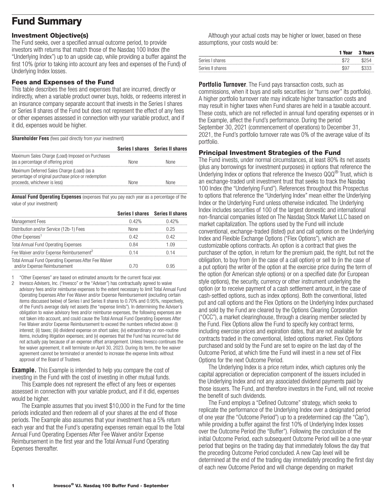# <span id="page-3-0"></span>**Fund Summary**

## **Investment Objective(s)**

The Fund seeks, over a specified annual outcome period, to provide investors with returns that match those of the Nasdaq 100 Index (the "Underlying Index") up to an upside cap, while providing a buffer against the first 10% (prior to taking into account any fees and expenses of the Fund) of Underlying Index losses.

## **Fees and Expenses of the Fund**

This table describes the fees and expenses that are incurred, directly or indirectly, when a variable product owner buys, holds, or redeems interest in an insurance company separate account that invests in the Series I shares or Series II shares of the Fund but does not represent the effect of any fees or other expenses assessed in connection with your variable product, and if it did, expenses would be higher.

**Shareholder Fees** (fees paid directly from your investment)

|                                                                                                                                   |             | Series I shares Series II shares |
|-----------------------------------------------------------------------------------------------------------------------------------|-------------|----------------------------------|
| Maximum Sales Charge (Load) Imposed on Purchases<br>(as a percentage of offering price)                                           | <b>None</b> | <b>None</b>                      |
| Maximum Deferred Sales Charge (Load) (as a<br>percentage of original purchase price or redemption<br>proceeds, whichever is less) | <b>None</b> | None                             |

**Annual Fund Operating Expenses** (expenses that you pay each year as a percentage of the value of your investment)

|                                                                                       |       | Series I shares Series II shares |
|---------------------------------------------------------------------------------------|-------|----------------------------------|
| <b>Management Fees</b>                                                                | 0.42% | 0.42%                            |
| Distribution and/or Service (12b-1) Fees                                              | None  | 0.25                             |
| Other Expenses <sup>1</sup>                                                           | 0.42  | 0.42                             |
| <b>Total Annual Fund Operating Expenses</b>                                           | 0.84  | 1.09                             |
| Fee Waiver and/or Expense Reimbursement <sup>2</sup>                                  | በ 14  | በ 14                             |
| Total Annual Fund Operating Expenses After Fee Waiver<br>and/or Expense Reimbursement | 0.70  | በ 95                             |

1 "Other Expenses" are based on estimated amounts for the current fiscal year.

2 Invesco Advisers, Inc. ("Invesco" or the "Adviser") has contractually agreed to waive advisory fees and/or reimburse expenses to the extent necessary to limit Total Annual Fund Operating Expenses After Fee Waiver and/or Expense Reimbursement (excluding certain items discussed below) of Series I and Series II shares to 0.70% and 0.95%, respectively, of the Fund's average daily net assets (the "expense limits"). In determining the Adviser's obligation to waive advisory fees and/or reimburse expenses, the following expenses are not taken into account, and could cause the Total Annual Fund Operating Expenses After Fee Waiver and/or Expense Reimbursement to exceed the numbers reflected above: (i) interest; (ii) taxes; (iii) dividend expense on short sales; (iv) extraordinary or non-routine items, including litigation expenses; and (v) expenses that the Fund has incurred but did not actually pay because of an expense offset arrangement. Unless Invesco continues the fee waiver agreement, it will terminate on April 30, 2023. During its term, the fee waiver agreement cannot be terminated or amended to increase the expense limits without approval of the Board of Trustees.

**Example.** This Example is intended to help you compare the cost of investing in the Fund with the cost of investing in other mutual funds.

This Example does not represent the effect of any fees or expenses assessed in connection with your variable product, and if it did, expenses would be higher.

The Example assumes that you invest \$10,000 in the Fund for the time periods indicated and then redeem all of your shares at the end of those periods. The Example also assumes that your investment has a 5% return each year and that the Fund's operating expenses remain equal to the Total Annual Fund Operating Expenses After Fee Waiver and/or Expense Reimbursement in the first year and the Total Annual Fund Operating Expenses thereafter.

Although your actual costs may be higher or lower, based on these assumptions, your costs would be:

|                  | 1 Year | <b>3 Years</b> |
|------------------|--------|----------------|
| Series I shares  | \$72   | \$254          |
| Series II shares | \$97   | \$333          |

**Portfolio Turnover**. The Fund pays transaction costs, such as commissions, when it buys and sells securities (or "turns over" its portfolio). A higher portfolio turnover rate may indicate higher transaction costs and may result in higher taxes when Fund shares are held in a taxable account. These costs, which are not reflected in annual fund operating expenses or in the Example, affect the Fund's performance. During the period September 30, 2021 (commencement of operations) to December 31, 2021, the Fund's portfolio turnover rate was 0% of the average value of its portfolio.

## **Principal Investment Strategies of the Fund**

The Fund invests, under normal circumstances, at least 80% its net assets (plus any borrowings for investment purposes) in options that reference the Underlying Index or options that reference the Invesco QQQ® Trust, which is an exchange-traded unit investment trust that seeks to track the Nasdaq 100 Index (the "Underlying Fund"). References throughout this Prospectus to options that reference the "Underlying Index" mean either the Underlying Index or the Underlying Fund unless otherwise indicated. The Underlying Index includes securities of 100 of the largest domestic and international non-financial companies listed on The Nasdaq Stock Market LLC based on market capitalization. The options used by the Fund will include conventional, exchange-traded (listed) put and call options on the Underlying Index and Flexible Exchange Options ("Flex Options"), which are customizable options contracts. An option is a contract that gives the purchaser of the option, in return for the premium paid, the right, but not the obligation, to buy from (in the case of a call option) or sell to (in the case of a put option) the writer of the option at the exercise price during the term of the option (for American style options) or on a specified date (for European style options), the security, currency or other instrument underlying the option (or to receive payment of a cash settlement amount, in the case of cash-settled options, such as index options). Both the conventional, listed put and call options and the Flex Options on the Underlying Index purchased and sold by the Fund are cleared by the Options Clearing Corporation ("OCC"), a market clearinghouse, through a clearing member selected by the Fund. Flex Options allow the Fund to specify key contract terms, including exercise prices and expiration dates, that are not available for contracts traded in the conventional, listed options market. Flex Options purchased and sold by the Fund are set to expire on the last day of the Outcome Period, at which time the Fund will invest in a new set of Flex Options for the next Outcome Period.

The Underlying Index is a price return index, which captures only the capital appreciation or depreciation component of the issuers included in the Underlying Index and not any associated dividend payments paid by those issuers. The Fund, and therefore investors in the Fund, will not receive the benefit of such dividends.

The Fund employs a "Defined Outcome" strategy, which seeks to replicate the performance of the Underlying Index over a designated period of one year (the "Outcome Period") up to a predetermined cap (the "Cap"), while providing a buffer against the first 10% of Underlying Index losses over the Outcome Period (the "Buffer"). Following the conclusion of the initial Outcome Period, each subsequent Outcome Period will be a one-year period that begins on the trading day that immediately follows the day that the preceding Outcome Period concluded. A new Cap level will be determined at the end of the trading day immediately preceding the first day of each new Outcome Period and will change depending on market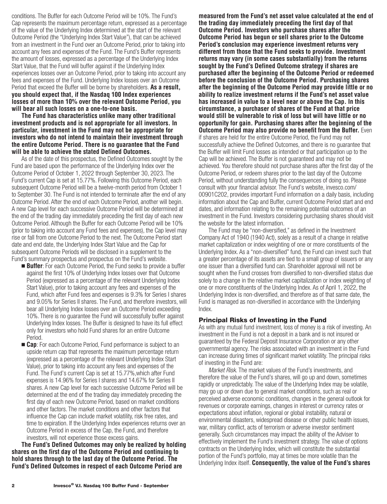conditions. The Buffer for each Outcome Period will be 10%. The Fund's Cap represents the maximum percentage return, expressed as a percentage of the value of the Underlying Index determined at the start of the relevant Outcome Period (the "Underlying Index Start Value"), that can be achieved from an investment in the Fund over an Outcome Period, prior to taking into account any fees and expenses of the Fund. The Fund's Buffer represents the amount of losses, expressed as a percentage of the Underlying Index Start Value, that the Fund will buffer against if the Underlying Index experiences losses over an Outcome Period, prior to taking into account any fees and expenses of the Fund. Underlying Index losses over an Outcome Period that exceed the Buffer will be borne by shareholders. **As a result, you should expect that, if the Nasdaq 100 Index experiences losses of more than 10% over the relevant Outcome Period, you will bear all such losses on a one-to-one basis.**

**The Fund has characteristics unlike many other traditional investment products and is not appropriate for all investors. In particular, investment in the Fund may not be appropriate for investors who do not intend to maintain their investment through the entire Outcome Period. There is no guarantee that the Fund will be able to achieve the stated Defined Outcomes.**

As of the date of this prospectus, the Defined Outcomes sought by the Fund are based upon the performance of the Underlying Index over the Outcome Period of October 1, 2022 through September 30, 2023. The Fund's current Cap is set at 15.77%. Following this Outcome Period, each subsequent Outcome Period will be a twelve-month period from October 1 to September 30. The Fund is not intended to terminate after the end of any Outcome Period. After the end of each Outcome Period, another will begin. A new Cap level for each successive Outcome Period will be determined at the end of the trading day immediately preceding the first day of each new Outcome Period. Although the Buffer for each Outcome Period will be 10% (prior to taking into account any Fund fees and expenses), the Cap level may rise or fall from one Outcome Period to the next. The Outcome Period start date and end date, the Underlying Index Start Value and the Cap for subsequent Outcome Periods will be disclosed in a supplement to the Fund's summary prospectus and prospectus on the Fund's website.

- **Buffer**: For each Outcome Period, the Fund seeks to provide a buffer against the first 10% of Underlying Index losses over that Outcome Period (expressed as a percentage of the relevant Underlying Index Start Value), prior to taking account any fees and expenses of the Fund, which after Fund fees and expenses is 9.3% for Series I shares and 9.05% for Series II shares. The Fund, and therefore investors, will bear all Underlying Index losses over an Outcome Period exceeding 10%. There is no guarantee the Fund will successfully buffer against Underlying Index losses. The Buffer is designed to have its full effect only for investors who hold Fund shares for an entire Outcome Period.
- **Cap**: For each Outcome Period, Fund performance is subject to an upside return cap that represents the maximum percentage return (expressed as a percentage of the relevant Underlying Index Start Value), prior to taking into account any fees and expenses of the Fund. The Fund's current Cap is set at 15.77%,which after Fund expenses is 14.96% for Series I shares and 14.67% for Series II shares. A new Cap level for each successive Outcome Period will be determined at the end of the trading day immediately preceding the first day of each new Outcome Period, based on market conditions and other factors. The market conditions and other factors that influence the Cap can include market volatility, risk free rates, and time to expiration. If the Underlying Index experiences returns over an Outcome Period in excess of the Cap, the Fund, and therefore investors, will not experience those excess gains.

**The Fund's Defined Outcomes may only be realized by holding shares on the first day of the Outcome Period and continuing to hold shares through to the last day of the Outcome Period. The Fund's Defined Outcomes in respect of each Outcome Period are**

**measured from the Fund's net asset value calculated at the end of the trading day immediately preceding the first day of that Outcome Period. Investors who purchase shares after the Outcome Period has begun or sell shares prior to the Outcome Period's conclusion may experience investment returns very different from those that the Fund seeks to provide. Investment returns may vary (in some cases substantially) from the returns sought by the Fund's Defined Outcome strategy if shares are purchased after the beginning of the Outcome Period or redeemed before the conclusion of the Outcome Period. Purchasing shares after the beginning of the Outcome Period may provide little or no ability to realize investment returns if the Fund's net asset value has increased in value to a level near or above the Cap. In this circumstance, a purchaser of shares of the Fund at that price would still be vulnerable to risk of loss but will have little or no opportunity for gain. Purchasing shares after the beginning of the Outcome Period may also provide no benefit from the Buffer.** Even if shares are held for the entire Outcome Period, the Fund may not successfully achieve the Defined Outcomes, and there is no guarantee that the Buffer will limit Fund losses as intended or that participation up to the Cap will be achieved. The Buffer is not guaranteed and may not be achieved. You therefore should not purchase shares after the first day of the Outcome Period, or redeem shares prior to the last day of the Outcome Period, without understanding fully the consequences of doing so. Please consult with your financial advisor. The Fund's website, [invesco.com/](http://invesco.com/00901C202) [00901C202,](http://invesco.com/00901C202) provides important Fund information on a daily basis, including information about the Cap and Buffer, current Outcome Period start and end dates, and information relating to the remaining potential outcomes of an investment in the Fund. Investors considering purchasing shares should visit the website for the latest information.

The Fund may be "non-diversified," as defined in the Investment Company Act of 1940 (1940 Act), solely as a result of a change in relative market capitalization or index weighting of one or more constituents of the Underlying Index. As a "non-diversified" fund, the Fund can invest such that a greater percentage of its assets are tied to a small group of issuers or any one issuer than a diversified fund can. Shareholder approval will not be sought when the Fund crosses from diversified to non-diversified status due solely to a change in the relative market capitalization or index weighting of one or more constituents of the Underlying Index. As of April 1, 2022, the Underlying Index is non-diversified, and therefore as of that same date, the Fund is managed as non-diversified in accordance with the Underlying Index.

#### **Principal Risks of Investing in the Fund**

As with any mutual fund investment, loss of money is a risk of investing. An investment in the Fund is not a deposit in a bank and is not insured or guaranteed by the Federal Deposit Insurance Corporation or any other governmental agency. The risks associated with an investment in the Fund can increase during times of significant market volatility. The principal risks of investing in the Fund are:

*Market Risk.* The market values of the Fund's investments, and therefore the value of the Fund's shares, will go up and down, sometimes rapidly or unpredictably. The value of the Underlying Index may be volatile, may go up or down due to general market conditions, such as real or perceived adverse economic conditions, changes in the general outlook for revenues or corporate earnings, changes in interest or currency rates or expectations about inflation, regional or global instability, natural or environmental disasters, widespread disease or other public health issues, war, military conflict, acts of terrorism or adverse investor sentiment generally. Such circumstances may impact the ability of the Adviser to effectively implement the Fund's investment strategy. The value of options contracts on the Underlying Index, which will constitute the substantial portion of the Fund's portfolio, may at times be more volatile than the Underlying Index itself. **Consequently, the value of the Fund's shares**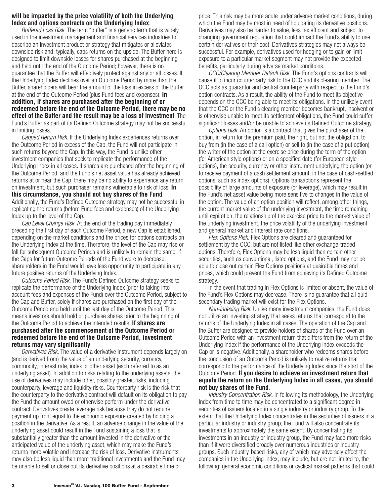### **will be impacted by the price volatility of both the Underlying Index and options contracts on the Underlying Index**.

*Buffered Loss Risk.* The term "buffer" is a generic term that is widely used in the investment management and financial services industries to describe an investment product or strategy that mitigates or alleviates downside risk and, typically, caps returns on the upside. The Buffer here is designed to limit downside losses for shares purchased at the beginning and held until the end of the Outcome Period; however, there is no guarantee that the Buffer will effectively protect against any or all losses. If the Underlying Index declines over an Outcome Period by more than the Buffer, shareholders will bear the amount of the loss in excess of the Buffer at the end of the Outcome Period (plus Fund fees and expenses). **In addition, if shares are purchased after the beginning of or redeemed before the end of the Outcome Period, there may be no effect of the Buffer and the result may be a loss of investment**. The Fund's Buffer as part of its Defined Outcome strategy may not be successful in limiting losses.

*Capped Return Risk.* If the Underlying Index experiences returns over the Outcome Period in excess of the Cap, the Fund will not participate in such returns beyond the Cap. In this way, the Fund is unlike other investment companies that seek to replicate the performance of the Underlying Index in all cases. If shares are purchased after the beginning of the Outcome Period, and the Fund's net asset value has already achieved returns at or near the Cap, there may be no ability to experience any return on investment, but such purchaser remains vulnerable to risk of loss. **In this circumstance, you should not buy shares of the Fund**. Additionally, the Fund's Defined Outcome strategy may not be successful in replicating the returns (before Fund fees and expenses) of the Underlying Index up to the level of the Cap.

*Cap Level Change Risk.* At the end of the trading day immediately preceding the first day of each Outcome Period, a new Cap is established, depending on the market conditions and the prices for options contracts on the Underlying Index at the time. Therefore, the level of the Cap may rise or fall for subsequent Outcome Periods and is unlikely to remain the same. If the Caps for future Outcome Periods of the Fund were to decrease, shareholders in the Fund would have less opportunity to participate in any future positive returns of the Underlying Index.

*Outcome Period Risk.* The Fund's Defined Outcome strategy seeks to replicate the performance of the Underlying Index (prior to taking into account fees and expenses of the Fund) over the Outcome Period, subject to the Cap and Buffer, solely if shares are purchased on the first day of the Outcome Period and held until the last day of the Outcome Period. This means investors should hold or purchase shares prior to the beginning of the Outcome Period to achieve the intended results. **If shares are purchased after the commencement of the Outcome Period or redeemed before the end of the Outcome Period, investment returns may vary significantly**.

*Derivatives Risk.* The value of a derivative instrument depends largely on (and is derived from) the value of an underlying security, currency, commodity, interest rate, index or other asset (each referred to as an underlying asset). In addition to risks relating to the underlying assets, the use of derivatives may include other, possibly greater, risks, including counterparty, leverage and liquidity risks. Counterparty risk is the risk that the counterparty to the derivative contract will default on its obligation to pay the Fund the amount owed or otherwise perform under the derivative contract. Derivatives create leverage risk because they do not require payment up front equal to the economic exposure created by holding a position in the derivative. As a result, an adverse change in the value of the underlying asset could result in the Fund sustaining a loss that is substantially greater than the amount invested in the derivative or the anticipated value of the underlying asset, which may make the Fund's returns more volatile and increase the risk of loss. Derivative instruments may also be less liquid than more traditional investments and the Fund may be unable to sell or close out its derivative positions at a desirable time or

price. This risk may be more acute under adverse market conditions, during which the Fund may be most in need of liquidating its derivative positions. Derivatives may also be harder to value, less tax efficient and subject to changing government regulation that could impact the Fund's ability to use certain derivatives or their cost. Derivatives strategies may not always be successful. For example, derivatives used for hedging or to gain or limit exposure to a particular market segment may not provide the expected benefits, particularly during adverse market conditions.

*OCC/Clearing Member Default Risk.* The Fund's options contracts will cause it to incur counterparty risk to the OCC and its clearing member. The OCC acts as guarantor and central counterparty with respect to the Fund's option contracts. As a result, the ability of the Fund to meet its objective depends on the OCC being able to meet its obligations. In the unlikely event that the OCC or the Fund's clearing member becomes bankrupt, insolvent or is otherwise unable to meet its settlement obligations, the Fund could suffer significant losses and/or be unable to achieve its Defined Outcome strategy.

*Options Risk.* An option is a contract that gives the purchaser of the option, in return for the premium paid, the right, but not the obligation, to buy from (in the case of a call option) or sell to (in the case of a put option) the writer of the option at the exercise price during the term of the option (for American style options) or on a specified date (for European style options), the security, currency or other instrument underlying the option (or to receive payment of a cash settlement amount, in the case of cash-settled options, such as index options). Options transactions represent the possibility of large amounts of exposure (or leverage), which may result in the Fund's net asset value being more sensitive to changes in the value of the option. The value of an option position will reflect, among other things, the current market value of the underlying investment, the time remaining until expiration, the relationship of the exercise price to the market value of the underlying investment, the price volatility of the underlying investment and general market and interest rate conditions.

*Flex Options Risk.* Flex Options are cleared and guaranteed for settlement by the OCC, but are not listed like other exchange-traded options. Therefore, Flex Options may be less liquid than certain other securities, such as conventional, listed options, and the Fund may not be able to close out certain Flex Options positions at desirable times and prices, which could prevent the Fund from achieving its Defined Outcome strategy.

In the event that trading in Flex Options is limited or absent, the value of the Fund's Flex Options may decrease. There is no guarantee that a liquid secondary trading market will exist for the Flex Options.

*Non-Indexing Risk.* Unlike many investment companies, the Fund does not utilize an investing strategy that seeks returns that correspond to the returns of the Underlying Index in all cases. The operation of the Cap and the Buffer are designed to provide holders of shares of the Fund over an Outcome Period with an investment return that differs from the return of the Underlying Index if the performance of the Underlying Index exceeds the Cap or is negative. Additionally, a shareholder who redeems shares before the conclusion of an Outcome Period is unlikely to realize returns that correspond to the performance of the Underlying Index since the start of the Outcome Period. **If you desire to achieve an investment return that equals the return on the Underlying Index in all cases, you should not buy shares of the Fund**.

*Industry Concentration Risk.* In following its methodology, the Underlying Index from time to time may be concentrated to a significant degree in securities of issuers located in a single industry or industry group. To the extent that the Underlying Index concentrates in the securities of issuers in a particular industry or industry group, the Fund will also concentrate its investments to approximately the same extent. By concentrating its investments in an industry or industry group, the Fund may face more risks than if it were diversified broadly over numerous industries or industry groups. Such industry-based risks, any of which may adversely affect the companies in the Underlying Index, may include, but are not limited to, the following: general economic conditions or cyclical market patterns that could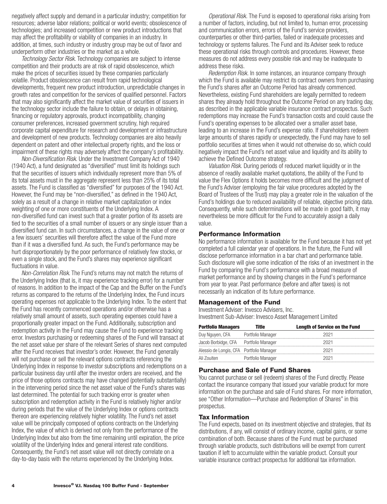negatively affect supply and demand in a particular industry; competition for resources; adverse labor relations; political or world events; obsolescence of technologies; and increased competition or new product introductions that may affect the profitability or viability of companies in an industry. In addition, at times, such industry or industry group may be out of favor and underperform other industries or the market as a whole.

*Technology Sector Risk.* Technology companies are subject to intense competition and their products are at risk of rapid obsolescence, which make the prices of securities issued by these companies particularly volatile. Product obsolescence can result from rapid technological developments, frequent new product introduction, unpredictable changes in growth rates and competition for the services of qualified personnel. Factors that may also significantly affect the market value of securities of issuers in the technology sector include the failure to obtain, or delays in obtaining, financing or regulatory approvals, product incompatibility, changing consumer preferences, increased government scrutiny, high required corporate capital expenditure for research and development or infrastructure and development of new products. Technology companies are also heavily dependent on patent and other intellectual property rights, and the loss or impairment of these rights may adversely affect the company's profitability.

*Non-Diversification Risk*. Under the Investment Company Act of 1940 (1940 Act), a fund designated as "diversified" must limit its holdings such that the securities of issuers which individually represent more than 5% of its total assets must in the aggregate represent less than 25% of its total assets. The Fund is classified as "diversified" for purposes of the 1940 Act. However, the Fund may be "non-diversified," as defined in the 1940 Act, solely as a result of a change in relative market capitalization or index weighting of one or more constituents of the Underlying Index. A non-diversified fund can invest such that a greater portion of its assets are tied to the securities of a small number of issuers or any single issuer than a diversified fund can. In such circumstances, a change in the value of one or a few issuers' securities will therefore affect the value of the Fund more than if it was a diversified fund. As such, the Fund's performance may be hurt disproportionately by the poor performance of relatively few stocks, or even a single stock, and the Fund's shares may experience significant fluctuations in value.

*Non-Correlation Risk*. The Fund's returns may not match the returns of the Underlying Index (that is, it may experience tracking error) for a number of reasons. In addition to the impact of the Cap and the Buffer on the Fund's returns as compared to the returns of the Underlying Index, the Fund incurs operating expenses not applicable to the Underlying Index. To the extent that the Fund has recently commenced operations and/or otherwise has a relatively small amount of assets, such operating expenses could have a proportionally greater impact on the Fund. Additionally, subscription and redemption activity in the Fund may cause the Fund to experience tracking error. Investors purchasing or redeeming shares of the Fund will transact at the net asset value per share of the relevant Series of shares next computed after the Fund receives that investor's order. However, the Fund generally will not purchase or sell the relevant options contracts referencing the Underlying Index in response to investor subscriptions and redemptions on a particular business day until after the investor orders are received, and the price of those options contracts may have changed (potentially substantially) in the intervening period since the net asset value of the Fund's shares was last determined. The potential for such tracking error is greater when subscription and redemption activity in the Fund is relatively higher and/or during periods that the value of the Underlying Index or options contracts thereon are experiencing relatively higher volatility. The Fund's net asset value will be principally composed of options contracts on the Underlying Index, the value of which is derived not only from the performance of the Underlying Index but also from the time remaining until expiration, the price volatility of the Underlying Index and general interest rate conditions. Consequently, the Fund's net asset value will not directly correlate on a day-to-day basis with the returns experienced by the Underlying Index.

*Operational Risk.* The Fund is exposed to operational risks arising from a number of factors, including, but not limited to, human error, processing and communication errors, errors of the Fund's service providers, counterparties or other third-parties, failed or inadequate processes and technology or systems failures. The Fund and its Adviser seek to reduce these operational risks through controls and procedures. However, these measures do not address every possible risk and may be inadequate to address these risks.

*Redemption Risk.* In some instances, an insurance company through which the Fund is available may restrict its contract owners from purchasing the Fund's shares after an Outcome Period has already commenced. Nevertheless, existing Fund shareholders are legally permitted to redeem shares they already hold throughout the Outcome Period on any trading day, as described in the applicable variable insurance contract prospectus. Such redemptions may increase the Fund's transaction costs and could cause the Fund's operating expenses to be allocated over a smaller asset base, leading to an increase in the Fund's expense ratio. If shareholders redeem large amounts of shares rapidly or unexpectedly, the Fund may have to sell portfolio securities at times when it would not otherwise do so, which could negatively impact the Fund's net asset value and liquidity and its ability to achieve the Defined Outcome strategy.

*Valuation Risk.* During periods of reduced market liquidity or in the absence of readily available market quotations, the ability of the Fund to value the Flex Options it holds becomes more difficult and the judgment of the Fund's Adviser (employing the fair value procedures adopted by the Board of Trustees of the Trust) may play a greater role in the valuation of the Fund's holdings due to reduced availability of reliable, objective pricing data. Consequently, while such determinations will be made in good faith, it may nevertheless be more difficult for the Fund to accurately assign a daily value.

#### **Performance Information**

No performance information is available for the Fund because it has not yet completed a full calendar year of operations. In the future, the Fund will disclose performance information in a bar chart and performance table. Such disclosure will give some indication of the risks of an investment in the Fund by comparing the Fund's performance with a broad measure of market performance and by showing changes in the Fund's performance from year to year. Past performance (before and after taxes) is not necessarily an indication of its future performance.

#### **Management of the Fund**

Investment Adviser: Invesco Advisers, Inc. Investment Sub-Adviser: Invesco Asset Management Limited

| <b>Portfolio Managers</b>                | Title             | <b>Length of Service on the Fund</b> |
|------------------------------------------|-------------------|--------------------------------------|
| Duy Nguyen, CFA Portfolio Manager        |                   | 2021                                 |
| Jacob Borbidge, CFA Portfolio Manager    |                   | 2021                                 |
| Alessio de Longis, CFA Portfolio Manager |                   | 2021                                 |
| Ali Zouiten                              | Portfolio Manager | 2021                                 |

#### **Purchase and Sale of Fund Shares**

You cannot purchase or sell (redeem) shares of the Fund directly. Please contact the insurance company that issued your variable product for more information on the purchase and sale of Fund shares. For more information, see "Other Information—Purchase and Redemption of Shares" in this prospectus.

#### **Tax Information**

The Fund expects, based on its investment objective and strategies, that its distributions, if any, will consist of ordinary income, capital gains, or some combination of both. Because shares of the Fund must be purchased through variable products, such distributions will be exempt from current taxation if left to accumulate within the variable product. Consult your variable insurance contract prospectus for additional tax information.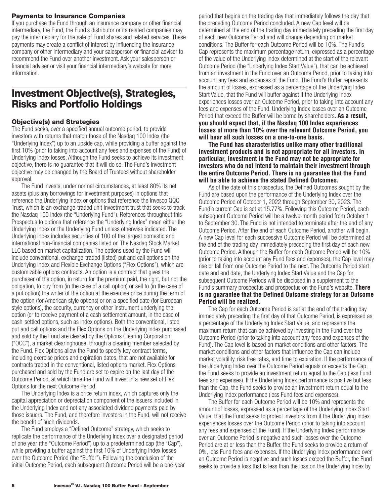### <span id="page-7-0"></span>**Payments to Insurance Companies**

If you purchase the Fund through an insurance company or other financial intermediary, the Fund, the Fund's distributor or its related companies may pay the intermediary for the sale of Fund shares and related services. These payments may create a conflict of interest by influencing the insurance company or other intermediary and your salesperson or financial adviser to recommend the Fund over another investment. Ask your salesperson or financial adviser or visit your financial intermediary's website for more information.

## **Investment Objective(s), Strategies, Risks and Portfolio Holdings**

### **Objective(s) and Strategies**

The Fund seeks, over a specified annual outcome period, to provide investors with returns that match those of the Nasdaq 100 Index (the "Underlying Index") up to an upside cap, while providing a buffer against the first 10% (prior to taking into account any fees and expenses of the Fund) of Underlying Index losses. Although the Fund seeks to achieve its investment objective, there is no guarantee that it will do so. The Fund's investment objective may be changed by the Board of Trustees without shareholder approval.

The Fund invests, under normal circumstances, at least 80% its net assets (plus any borrowings for investment purposes) in options that reference the Underlying Index or options that reference the Invesco QQQ Trust, which is an exchange-traded unit investment trust that seeks to track the Nasdaq 100 Index (the "Underlying Fund"). References throughout this Prospectus to options that reference the "Underlying Index" mean either the Underlying Index or the Underlying Fund unless otherwise indicated. The Underlying Index includes securities of 100 of the largest domestic and international non-financial companies listed on The Nasdaq Stock Market LLC based on market capitalization. The options used by the Fund will include conventional, exchange-traded (listed) put and call options on the Underlying Index and Flexible Exchange Options ("Flex Options"), which are customizable options contracts. An option is a contract that gives the purchaser of the option, in return for the premium paid, the right, but not the obligation, to buy from (in the case of a call option) or sell to (in the case of a put option) the writer of the option at the exercise price during the term of the option (for American style options) or on a specified date (for European style options), the security, currency or other instrument underlying the option (or to receive payment of a cash settlement amount, in the case of cash-settled options, such as index options). Both the conventional, listed put and call options and the Flex Options on the Underlying Index purchased and sold by the Fund are cleared by the Options Clearing Corporation ("OCC"), a market clearinghouse, through a clearing member selected by the Fund. Flex Options allow the Fund to specify key contract terms, including exercise prices and expiration dates, that are not available for contracts traded in the conventional, listed options market. Flex Options purchased and sold by the Fund are set to expire on the last day of the Outcome Period, at which time the Fund will invest in a new set of Flex Options for the next Outcome Period.

The Underlying Index is a price return index, which captures only the capital appreciation or depreciation component of the issuers included in the Underlying Index and not any associated dividend payments paid by those issuers. The Fund, and therefore investors in the Fund, will not receive the benefit of such dividends.

The Fund employs a "Defined Outcome" strategy, which seeks to replicate the performance of the Underlying Index over a designated period of one year (the "Outcome Period") up to a predetermined cap (the "Cap"), while providing a buffer against the first 10% of Underlying Index losses over the Outcome Period (the "Buffer"). Following the conclusion of the initial Outcome Period, each subsequent Outcome Period will be a one-year period that begins on the trading day that immediately follows the day that the preceding Outcome Period concluded. A new Cap level will be determined at the end of the trading day immediately preceding the first day of each new Outcome Period and will change depending on market conditions. The Buffer for each Outcome Period will be 10%. The Fund's Cap represents the maximum percentage return, expressed as a percentage of the value of the Underlying Index determined at the start of the relevant Outcome Period (the "Underlying Index Start Value"), that can be achieved from an investment in the Fund over an Outcome Period, prior to taking into account any fees and expenses of the Fund. The Fund's Buffer represents the amount of losses, expressed as a percentage of the Underlying Index Start Value, that the Fund will buffer against if the Underlying Index experiences losses over an Outcome Period, prior to taking into account any fees and expenses of the Fund. Underlying Index losses over an Outcome Period that exceed the Buffer will be borne by shareholders. **As a result, you should expect that, if the Nasdaq 100 Index experiences losses of more than 10% over the relevant Outcome Period, you will bear all such losses on a one-to-one basis.**

**The Fund has characteristics unlike many other traditional investment products and is not appropriate for all investors. In particular, investment in the Fund may not be appropriate for investors who do not intend to maintain their investment through the entire Outcome Period. There is no guarantee that the Fund will be able to achieve the stated Defined Outcomes.**

As of the date of this prospectus, the Defined Outcomes sought by the Fund are based upon the performance of the Underlying Index over the Outcome Period of October 1, 2022 through September 30, 2023. The Fund's current Cap is set at 15.77%. Following this Outcome Period, each subsequent Outcome Period will be a twelve-month period from October 1 to September 30. The Fund is not intended to terminate after the end of any Outcome Period. After the end of each Outcome Period, another will begin. A new Cap level for each successive Outcome Period will be determined at the end of the trading day immediately preceding the first day of each new Outcome Period. Although the Buffer for each Outcome Period will be 10% (prior to taking into account any Fund fees and expenses), the Cap level may rise or fall from one Outcome Period to the next. The Outcome Period start date and end date, the Underlying Index Start Value and the Cap for subsequent Outcome Periods will be disclosed in a supplement to the Fund's summary prospectus and prospectus on the Fund's website. **There is no guarantee that the Defined Outcome strategy for an Outcome Period will be realized.**

The Cap for each Outcome Period is set at the end of the trading day immediately preceding the first day of that Outcome Period, is expressed as a percentage of the Underlying Index Start Value, and represents the maximum return that can be achieved by investing in the Fund over the Outcome Period (prior to taking into account any fees and expenses of the Fund). The Cap level is based on market conditions and other factors. The market conditions and other factors that influence the Cap can include market volatility, risk free rates, and time to expiration. If the performance of the Underlying Index over the Outcome Period equals or exceeds the Cap, the Fund seeks to provide an investment return equal to the Cap (less Fund fees and expenses). If the Underlying Index performance is positive but less than the Cap, the Fund seeks to provide an investment return equal to the Underlying Index performance (less Fund fees and expenses).

The Buffer for each Outcome Period will be 10% and represents the amount of losses, expressed as a percentage of the Underlying Index Start Value, that the Fund seeks to protect investors from if the Underlying Index experiences losses over the Outcome Period (prior to taking into account any fees and expenses of the Fund). If the Underlying Index performance over an Outcome Period is negative and such losses over the Outcome Period are at or less than the Buffer, the Fund seeks to provide a return of 0%, less Fund fees and expenses. If the Underlying Index performance over an Outcome Period is negative and such losses exceed the Buffer, the Fund seeks to provide a loss that is less than the loss on the Underlying Index by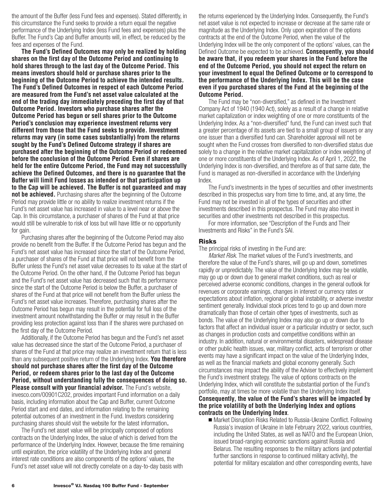the amount of the Buffer (less Fund fees and expenses). Stated differently, in this circumstance the Fund seeks to provide a return equal the negative performance of the Underlying Index (less Fund fees and expenses) plus the Buffer. The Fund's Cap and Buffer amounts will, in effect, be reduced by the fees and expenses of the Fund.

**The Fund's Defined Outcomes may only be realized by holding shares on the first day of the Outcome Period and continuing to hold shares through to the last day of the Outcome Period. This means investors should hold or purchase shares prior to the beginning of the Outcome Period to achieve the intended results. The Fund's Defined Outcomes in respect of each Outcome Period are measured from the Fund's net asset value calculated at the end of the trading day immediately preceding the first day of that Outcome Period. Investors who purchase shares after the Outcome Period has begun or sell shares prior to the Outcome Period's conclusion may experience investment returns very different from those that the Fund seeks to provide. Investment returns may vary (in some cases substantially) from the returns sought by the Fund's Defined Outcome strategy if shares are purchased after the beginning of the Outcome Period or redeemed before the conclusion of the Outcome Period**. **Even if shares are held for the entire Outcome Period, the Fund may not successfully achieve the Defined Outcomes, and there is no guarantee that the Buffer will limit Fund losses as intended or that participation up to the Cap will be achieved. The Buffer is not guaranteed and may not be achieved.** Purchasing shares after the beginning of the Outcome Period may provide little or no ability to realize investment returns if the Fund's net asset value has increased in value to a level near or above the Cap. In this circumstance, a purchaser of shares of the Fund at that price would still be vulnerable to risk of loss but will have little or no opportunity for gain.

Purchasing shares after the beginning of the Outcome Period may also provide no benefit from the Buffer. If the Outcome Period has begun and the Fund's net asset value has increased since the start of the Outcome Period, a purchaser of shares of the Fund at that price will not benefit from the Buffer unless the Fund's net asset value decreases to its value at the start of the Outcome Period. On the other hand, if the Outcome Period has begun and the Fund's net asset value has decreased such that its performance since the start of the Outcome Period is below the Buffer, a purchaser of shares of the Fund at that price will not benefit from the Buffer unless the Fund's net asset value increases. Therefore, purchasing shares after the Outcome Period has begun may result in the potential for full loss of the investment amount notwithstanding the Buffer or may result in the Buffer providing less protection against loss than if the shares were purchased on the first day of the Outcome Period.

Additionally, if the Outcome Period has begun and the Fund's net asset value has decreased since the start of the Outcome Period, a purchaser of shares of the Fund at that price may realize an investment return that is less than any subsequent positive return of the Underlying Index. **You therefore should not purchase shares after the first day of the Outcome Period, or redeem shares prior to the last day of the Outcome Period, without understanding fully the consequences of doing so. Please consult with your financial advisor.** The Fund's website, [invesco.com/00901C202,](http://invesco.com/00901C202) provides important Fund information on a daily basis, including information about the Cap and Buffer, current Outcome Period start and end dates, and information relating to the remaining potential outcomes of an investment in the Fund. Investors considering purchasing shares should visit the website for the latest information**.**

The Fund's net asset value will be principally composed of options contracts on the Underlying Index, the value of which is derived from the performance of the Underlying Index. However, because the time remaining until expiration, the price volatility of the Underlying Index and general interest rate conditions are also components of the options' values, the Fund's net asset value will not directly correlate on a day-to-day basis with

the returns experienced by the Underlying Index. Consequently, the Fund's net asset value is not expected to increase or decrease at the same rate or magnitude as the Underlying Index. Only upon expiration of the options contracts at the end of the Outcome Period, when the value of the Underlying Index will be the only component of the options' values, can the Defined Outcome be expected to be achieved. **Consequently, you should be aware that, if you redeem your shares in the Fund before the end of the Outcome Period, you should not expect the return on your investment to equal the Defined Outcome or to correspond to the performance of the Underlying Index. This will be the case even if you purchased shares of the Fund at the beginning of the Outcome Period.**

The Fund may be "non-diversified," as defined in the Investment Company Act of 1940 (1940 Act), solely as a result of a change in relative market capitalization or index weighting of one or more constituents of the Underlying Index. As a "non-diversified" fund, the Fund can invest such that a greater percentage of its assets are tied to a small group of issuers or any one issuer than a diversified fund can. Shareholder approval will not be sought when the Fund crosses from diversified to non-diversified status due solely to a change in the relative market capitalization or index weighting of one or more constituents of the Underlying Index. As of April 1, 2022, the Underlying Index is non-diversified, and therefore as of that same date, the Fund is managed as non-diversified in accordance with the Underlying Index.

The Fund's investments in the types of securities and other investments described in this prospectus vary from time to time, and, at any time, the Fund may not be invested in all of the types of securities and other investments described in this prospectus. The Fund may also invest in securities and other investments not described in this prospectus.

For more information, see "Description of the Funds and Their Investments and Risks" in the Fund's SAI.

#### **Risks**

The principal risks of investing in the Fund are:

*Market Risk.* The market values of the Fund's investments, and therefore the value of the Fund's shares, will go up and down, sometimes rapidly or unpredictably. The value of the Underlying Index may be volatile, may go up or down due to general market conditions, such as real or perceived adverse economic conditions, changes in the general outlook for revenues or corporate earnings, changes in interest or currency rates or expectations about inflation, regional or global instability, or adverse investor sentiment generally. Individual stock prices tend to go up and down more dramatically than those of certain other types of investments, such as bonds. The value of the Underlying Index may also go up or down due to factors that affect an individual issuer or a particular industry or sector, such as changes in production costs and competitive conditions within an industry. In addition, natural or environmental disasters, widespread disease or other public health issues, war, military conflict, acts of terrorism or other events may have a significant impact on the value of the Underlying Index, as well as the financial markets and global economy generally. Such circumstances may impact the ability of the Adviser to effectively implement the Fund's investment strategy. The value of options contracts on the Underlying Index, which will constitute the substantial portion of the Fund's portfolio, may at times be more volatile than the Underlying Index itself. **Consequently, the value of the Fund's shares will be impacted by the price volatility of both the Underlying Index and options contracts on the Underlying Index**.

■ Market Disruption Risks Related to Russia-Ukraine Conflict. Following Russia's invasion of Ukraine in late February 2022, various countries, including the United States, as well as NATO and the European Union, issued broad-ranging economic sanctions against Russia and Belarus. The resulting responses to the military actions (and potential further sanctions in response to continued military activity), the potential for military escalation and other corresponding events, have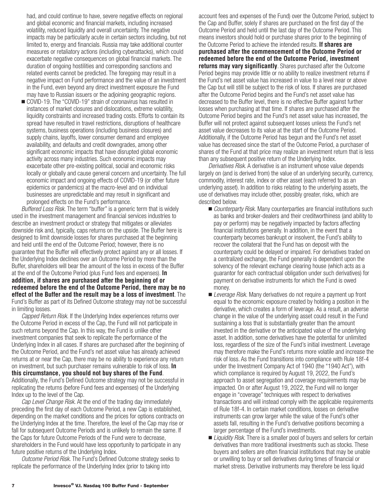had, and could continue to have, severe negative effects on regional and global economic and financial markets, including increased volatility, reduced liquidity and overall uncertainty. The negative impacts may be particularly acute in certain sectors including, but not limited to, energy and financials. Russia may take additional counter measures or retaliatory actions (including cyberattacks), which could exacerbate negative consequences on global financial markets. The duration of ongoing hostilities and corresponding sanctions and related events cannot be predicted. The foregoing may result in a negative impact on Fund performance and the value of an investment in the Fund, even beyond any direct investment exposure the Fund may have to Russian issuers or the adjoining geographic regions.

■ COVID-19. The "COVID-19" strain of coronavirus has resulted in instances of market closures and dislocations, extreme volatility, liquidity constraints and increased trading costs. Efforts to contain its spread have resulted in travel restrictions, disruptions of healthcare systems, business operations (including business closures) and supply chains, layoffs, lower consumer demand and employee availability, and defaults and credit downgrades, among other significant economic impacts that have disrupted global economic activity across many industries. Such economic impacts may exacerbate other pre-existing political, social and economic risks locally or globally and cause general concern and uncertainty. The full economic impact and ongoing effects of COVID-19 (or other future epidemics or pandemics) at the macro-level and on individual businesses are unpredictable and may result in significant and prolonged effects on the Fund's performance.

*Buffered Loss Risk.* The term "buffer" is a generic term that is widely used in the investment management and financial services industries to describe an investment product or strategy that mitigates or alleviates downside risk and, typically, caps returns on the upside. The Buffer here is designed to limit downside losses for shares purchased at the beginning and held until the end of the Outcome Period; however, there is no guarantee that the Buffer will effectively protect against any or all losses. If the Underlying Index declines over an Outcome Period by more than the Buffer, shareholders will bear the amount of the loss in excess of the Buffer at the end of the Outcome Period (plus Fund fees and expenses). **In addition, if shares are purchased after the beginning of or redeemed before the end of the Outcome Period, there may be no effect of the Buffer and the result may be a loss of investment**. The Fund's Buffer as part of its Defined Outcome strategy may not be successful in limiting losses.

*Capped Return Risk.* If the Underlying Index experiences returns over the Outcome Period in excess of the Cap, the Fund will not participate in such returns beyond the Cap. In this way, the Fund is unlike other investment companies that seek to replicate the performance of the Underlying Index in all cases. If shares are purchased after the beginning of the Outcome Period, and the Fund's net asset value has already achieved returns at or near the Cap, there may be no ability to experience any return on investment, but such purchaser remains vulnerable to risk of loss. **In this circumstance, you should not buy shares of the Fund**. Additionally, the Fund's Defined Outcome strategy may not be successful in replicating the returns (before Fund fees and expenses) of the Underlying Index up to the level of the Cap.

*Cap Level Change Risk.* At the end of the trading day immediately preceding the first day of each Outcome Period, a new Cap is established, depending on the market conditions and the prices for options contracts on the Underlying Index at the time. Therefore, the level of the Cap may rise or fall for subsequent Outcome Periods and is unlikely to remain the same. If the Caps for future Outcome Periods of the Fund were to decrease, shareholders in the Fund would have less opportunity to participate in any future positive returns of the Underlying Index.

*Outcome Period Risk.* The Fund's Defined Outcome strategy seeks to replicate the performance of the Underlying Index (prior to taking into

account fees and expenses of the Fund) over the Outcome Period, subject to the Cap and Buffer, solely if shares are purchased on the first day of the Outcome Period and held until the last day of the Outcome Period. This means investors should hold or purchase shares prior to the beginning of the Outcome Period to achieve the intended results. **If shares are purchased after the commencement of the Outcome Period or redeemed before the end of the Outcome Period, investment returns may vary significantly**. Shares purchased after the Outcome Period begins may provide little or no ability to realize investment returns if the Fund's net asset value has increased in value to a level near or above the Cap but will still be subject to the risk of loss. If shares are purchased after the Outcome Period begins and the Fund's net asset value has decreased to the Buffer level, there is no effective Buffer against further losses when purchasing at that time. If shares are purchased after the Outcome Period begins and the Fund's net asset value has increased, the Buffer will not protect against subsequent losses unless the Fund's net asset value decreases to its value at the start of the Outcome Period. Additionally, if the Outcome Period has begun and the Fund's net asset value has decreased since the start of the Outcome Period, a purchaser of shares of the Fund at that price may realize an investment return that is less than any subsequent positive return of the Underlying Index.

*Derivatives Risk.* A derivative is an instrument whose value depends largely on (and is derived from) the value of an underlying security, currency, commodity, interest rate, index or other asset (each referred to as an underlying asset). In addition to risks relating to the underlying assets, the use of derivatives may include other, possibly greater, risks, which are described below.

- *Counterparty Risk.* Many counterparties are financial institutions such as banks and broker-dealers and their creditworthiness (and ability to pay or perform) may be negatively impacted by factors affecting financial institutions generally. In addition, in the event that a counterparty becomes bankrupt or insolvent, the Fund's ability to recover the collateral that the Fund has on deposit with the counterparty could be delayed or impaired. For derivatives traded on a centralized exchange, the Fund generally is dependent upon the solvency of the relevant exchange clearing house (which acts as a guarantor for each contractual obligation under such derivatives) for payment on derivative instruments for which the Fund is owed money.
- *Leverage Risk.* Many derivatives do not require a payment up front equal to the economic exposure created by holding a position in the derivative, which creates a form of leverage. As a result, an adverse change in the value of the underlying asset could result in the Fund sustaining a loss that is substantially greater than the amount invested in the derivative or the anticipated value of the underlying asset. In addition, some derivatives have the potential for unlimited loss, regardless of the size of the Fund's initial investment. Leverage may therefore make the Fund's returns more volatile and increase the risk of loss. As the Fund transitions into compliance with Rule 18f-4 under the Investment Company Act of 1940 (the "1940 Act"), with which compliance is required by August 19, 2022, the Fund's approach to asset segregation and coverage requirements may be impacted. On or after August 19, 2022, the Fund will no longer engage in "coverage" techniques with respect to derivatives transactions and will instead comply with the applicable requirements of Rule 18f-4. In certain market conditions, losses on derivative instruments can grow larger while the value of the Fund's other assets fall, resulting in the Fund's derivative positions becoming a larger percentage of the Fund's investments.
- *Liquidity Risk.* There is a smaller pool of buyers and sellers for certain derivatives than more traditional investments such as stocks. These buyers and sellers are often financial institutions that may be unable or unwilling to buy or sell derivatives during times of financial or market stress. Derivative instruments may therefore be less liquid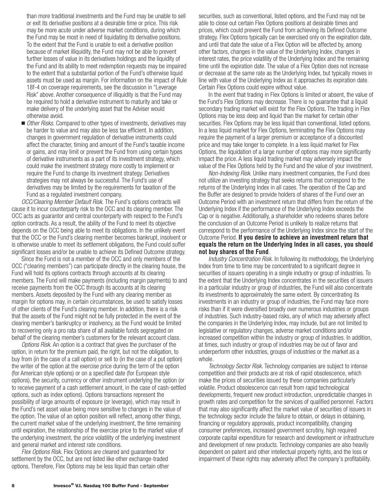than more traditional investments and the Fund may be unable to sell or exit its derivative positions at a desirable time or price. This risk may be more acute under adverse market conditions, during which the Fund may be most in need of liquidating its derivative positions. To the extent that the Fund is unable to exit a derivative position because of market illiquidity, the Fund may not be able to prevent further losses of value in its derivatives holdings and the liquidity of the Fund and its ability to meet redemption requests may be impaired to the extent that a substantial portion of the Fund's otherwise liquid assets must be used as margin. For information on the impact of Rule 18f-4 on coverage requirements, see the discussion in "Leverage Risk" above. Another consequence of illiquidity is that the Fund may be required to hold a derivative instrument to maturity and take or make delivery of the underlying asset that the Adviser would otherwise avoid.

■ *Other Risks.* Compared to other types of investments, derivatives may be harder to value and may also be less tax efficient. In addition, changes in government regulation of derivative instruments could affect the character, timing and amount of the Fund's taxable income or gains, and may limit or prevent the Fund from using certain types of derivative instruments as a part of its investment strategy, which could make the investment strategy more costly to implement or require the Fund to change its investment strategy. Derivatives strategies may not always be successful. The Fund's use of derivatives may be limited by the requirements for taxation of the Fund as a regulated investment company.

*OCC/Clearing Member Default Risk.* The Fund's options contracts will cause it to incur counterparty risk to the OCC and its clearing member. The OCC acts as guarantor and central counterparty with respect to the Fund's option contracts. As a result, the ability of the Fund to meet its objective depends on the OCC being able to meet its obligations. In the unlikely event that the OCC or the Fund's clearing member becomes bankrupt, insolvent or is otherwise unable to meet its settlement obligations, the Fund could suffer significant losses and/or be unable to achieve its Defined Outcome strategy.

Since the Fund is not a member of the OCC and only members of the OCC ("clearing members") can participate directly in the clearing house, the Fund will hold its options contracts through accounts at its clearing members. The Fund will make payments (including margin payments) to and receive payments from the OCC through its accounts at its clearing members. Assets deposited by the Fund with any clearing member as margin for options may, in certain circumstances, be used to satisfy losses of other clients of the Fund's clearing member. In addition, there is a risk that the assets of the Fund might not be fully protected in the event of the clearing member's bankruptcy or insolvency, as the Fund would be limited to recovering only a pro rata share of all available funds segregated on behalf of the clearing member's customers for the relevant account class.

*Options Risk.* An option is a contract that gives the purchaser of the option, in return for the premium paid, the right, but not the obligation, to buy from (in the case of a call option) or sell to (in the case of a put option) the writer of the option at the exercise price during the term of the option (for American style options) or on a specified date (for European style options), the security, currency or other instrument underlying the option (or to receive payment of a cash settlement amount, in the case of cash-settled options, such as index options). Options transactions represent the possibility of large amounts of exposure (or leverage), which may result in the Fund's net asset value being more sensitive to changes in the value of the option. The value of an option position will reflect, among other things, the current market value of the underlying investment, the time remaining until expiration, the relationship of the exercise price to the market value of the underlying investment, the price volatility of the underlying investment and general market and interest rate conditions.

*Flex Options Risk.* Flex Options are cleared and guaranteed for settlement by the OCC, but are not listed like other exchange-traded options. Therefore, Flex Options may be less liquid than certain other securities, such as conventional, listed options, and the Fund may not be able to close out certain Flex Options positions at desirable times and prices, which could prevent the Fund from achieving its Defined Outcome strategy. Flex Options typically can be exercised only on the expiration date, and until that date the value of a Flex Option will be affected by, among other factors, changes in the value of the Underlying Index, changes in interest rates, the price volatility of the Underlying Index and the remaining time until the expiration date. The value of a Flex Option does not increase or decrease at the same rate as the Underlying Index, but typically moves in line with value of the Underlying Index as it approaches its expiration date. Certain Flex Options could expire without value.

In the event that trading in Flex Options is limited or absent, the value of the Fund's Flex Options may decrease. There is no guarantee that a liquid secondary trading market will exist for the Flex Options. The trading in Flex Options may be less deep and liquid than the market for certain other securities. Flex Options may be less liquid than conventional, listed options. In a less liquid market for Flex Options, terminating the Flex Options may require the payment of a larger premium or acceptance of a discounted price and may take longer to complete. In a less liquid market for Flex Options, the liquidation of a large number of options may more significantly impact the price. A less liquid trading market may adversely impact the value of the Flex Options held by the Fund and the value of your investment.

*Non-Indexing Risk.* Unlike many investment companies, the Fund does not utilize an investing strategy that seeks returns that correspond to the returns of the Underlying Index in all cases. The operation of the Cap and the Buffer are designed to provide holders of shares of the Fund over an Outcome Period with an investment return that differs from the return of the Underlying Index if the performance of the Underlying Index exceeds the Cap or is negative. Additionally, a shareholder who redeems shares before the conclusion of an Outcome Period is unlikely to realize returns that correspond to the performance of the Underlying Index since the start of the Outcome Period. **If you desire to achieve an investment return that equals the return on the Underlying Index in all cases, you should not buy shares of the Fund**.

*Industry Concentration Risk.* In following its methodology, the Underlying Index from time to time may be concentrated to a significant degree in securities of issuers operating in a single industry or group of industries. To the extent that the Underlying Index concentrates in the securities of issuers in a particular industry or group of industries, the Fund will also concentrate its investments to approximately the same extent. By concentrating its investments in an industry or group of industries, the Fund may face more risks than if it were diversified broadly over numerous industries or groups of industries. Such industry-based risks, any of which may adversely affect the companies in the Underlying Index, may include, but are not limited to legislative or regulatory changes, adverse market conditions and/or increased competition within the industry or group of industries. In addition, at times, such industry or group of industries may be out of favor and underperform other industries, groups of industries or the market as a whole.

*Technology Sector Risk.* Technology companies are subject to intense competition and their products are at risk of rapid obsolescence, which make the prices of securities issued by these companies particularly volatile. Product obsolescence can result from rapid technological developments, frequent new product introduction, unpredictable changes in growth rates and competition for the services of qualified personnel. Factors that may also significantly affect the market value of securities of issuers in the technology sector include the failure to obtain, or delays in obtaining, financing or regulatory approvals, product incompatibility, changing consumer preferences, increased government scrutiny, high required corporate capital expenditure for research and development or infrastructure and development of new products. Technology companies are also heavily dependent on patent and other intellectual property rights, and the loss or impairment of these rights may adversely affect the company's profitability.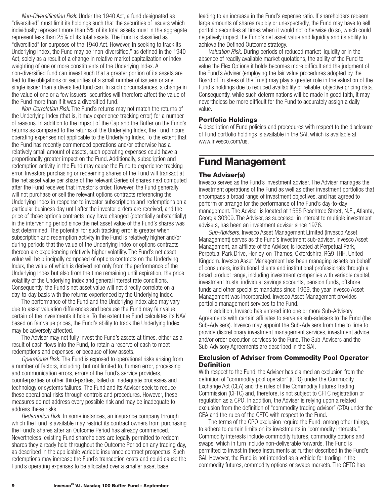<span id="page-11-0"></span>*Non-Diversification Risk*. Under the 1940 Act, a fund designated as "diversified" must limit its holdings such that the securities of issuers which individually represent more than 5% of its total assets must in the aggregate represent less than 25% of its total assets. The Fund is classified as "diversified" for purposes of the 1940 Act. However, in seeking to track its Underlying Index, the Fund may be "non-diversified," as defined in the 1940 Act, solely as a result of a change in relative market capitalization or index weighting of one or more constituents of the Underlying Index. A non-diversified fund can invest such that a greater portion of its assets are tied to the obligations or securities of a small number of issuers or any single issuer than a diversified fund can. In such circumstances, a change in the value of one or a few issuers' securities will therefore affect the value of the Fund more than if it was a diversified fund.

*Non-Correlation Risk*. The Fund's returns may not match the returns of the Underlying Index (that is, it may experience tracking error) for a number of reasons. In addition to the impact of the Cap and the Buffer on the Fund's returns as compared to the returns of the Underlying Index, the Fund incurs operating expenses not applicable to the Underlying Index. To the extent that the Fund has recently commenced operations and/or otherwise has a relatively small amount of assets, such operating expenses could have a proportionally greater impact on the Fund. Additionally, subscription and redemption activity in the Fund may cause the Fund to experience tracking error. Investors purchasing or redeeming shares of the Fund will transact at the net asset value per share of the relevant Series of shares next computed after the Fund receives that investor's order. However, the Fund generally will not purchase or sell the relevant options contracts referencing the Underlying Index in response to investor subscriptions and redemptions on a particular business day until after the investor orders are received, and the price of those options contracts may have changed (potentially substantially) in the intervening period since the net asset value of the Fund's shares was last determined. The potential for such tracking error is greater when subscription and redemption activity in the Fund is relatively higher and/or during periods that the value of the Underlying Index or options contracts thereon are experiencing relatively higher volatility. The Fund's net asset value will be principally composed of options contracts on the Underlying Index, the value of which is derived not only from the performance of the Underlying Index but also from the time remaining until expiration, the price volatility of the Underlying Index and general interest rate conditions. Consequently, the Fund's net asset value will not directly correlate on a day-to-day basis with the returns experienced by the Underlying Index.

The performance of the Fund and the Underlying Index also may vary due to asset valuation differences and because the Fund may fair value certain of the investments it holds. To the extent the Fund calculates its NAV based on fair value prices, the Fund's ability to track the Underlying Index may be adversely affected.

The Adviser may not fully invest the Fund's assets at times, either as a result of cash flows into the Fund, to retain a reserve of cash to meet redemptions and expenses, or because of low assets.

*Operational Risk.* The Fund is exposed to operational risks arising from a number of factors, including, but not limited to, human error, processing and communication errors, errors of the Fund's service providers, counterparties or other third-parties, failed or inadequate processes and technology or systems failures. The Fund and its Adviser seek to reduce these operational risks through controls and procedures. However, these measures do not address every possible risk and may be inadequate to address these risks.

*Redemption Risk.* In some instances, an insurance company through which the Fund is available may restrict its contract owners from purchasing the Fund's shares after an Outcome Period has already commenced. Nevertheless, existing Fund shareholders are legally permitted to redeem shares they already hold throughout the Outcome Period on any trading day, as described in the applicable variable insurance contract prospectus. Such redemptions may increase the Fund's transaction costs and could cause the Fund's operating expenses to be allocated over a smaller asset base,

leading to an increase in the Fund's expense ratio. If shareholders redeem large amounts of shares rapidly or unexpectedly, the Fund may have to sell portfolio securities at times when it would not otherwise do so, which could negatively impact the Fund's net asset value and liquidity and its ability to achieve the Defined Outcome strategy.

*Valuation Risk.* During periods of reduced market liquidity or in the absence of readily available market quotations, the ability of the Fund to value the Flex Options it holds becomes more difficult and the judgment of the Fund's Adviser (employing the fair value procedures adopted by the Board of Trustees of the Trust) may play a greater role in the valuation of the Fund's holdings due to reduced availability of reliable, objective pricing data. Consequently, while such determinations will be made in good faith, it may nevertheless be more difficult for the Fund to accurately assign a daily value.

### **Portfolio Holdings**

A description of Fund policies and procedures with respect to the disclosure of Fund portfolio holdings is available in the SAI, which is available at www.invesco.com/us.

## **Fund Management**

### **The Adviser(s)**

Invesco serves as the Fund's investment adviser. The Adviser manages the investment operations of the Fund as well as other investment portfolios that encompass a broad range of investment objectives, and has agreed to perform or arrange for the performance of the Fund's day-to-day management. The Adviser is located at 1555 Peachtree Street, N.E., Atlanta, Georgia 30309. The Adviser, as successor in interest to multiple investment advisers, has been an investment adviser since 1976.

*Sub-Advisers.* Invesco Asset Management Limited (Invesco Asset Management) serves as the Fund's investment sub-adviser. Invesco Asset Management, an affiliate of the Adviser, is located at Perpetual Park, Perpetual Park Drive, Henley-on-Thames, Oxfordshire, RG9 1HH, United Kingdom. Invesco Asset Management has been managing assets on behalf of consumers, institutional clients and institutional professionals through a broad product range, including investment companies with variable capital, investment trusts, individual savings accounts, pension funds, offshore funds and other specialist mandates since 1969, the year Invesco Asset Management was incorporated. Invesco Asset Management provides portfolio management services to the Fund.

In addition, Invesco has entered into one or more Sub-Advisory Agreements with certain affiliates to serve as sub-advisers to the Fund (the Sub-Advisers). Invesco may appoint the Sub-Advisers from time to time to provide discretionary investment management services, investment advice, and/or order execution services to the Fund. The Sub-Advisers and the Sub-Advisory Agreements are described in the SAI.

### **Exclusion of Adviser from Commodity Pool Operator Definition**

With respect to the Fund, the Adviser has claimed an exclusion from the definition of "commodity pool operator" (CPO) under the Commodity Exchange Act (CEA) and the rules of the Commodity Futures Trading Commission (CFTC) and, therefore, is not subject to CFTC registration or regulation as a CPO. In addition, the Adviser is relying upon a related exclusion from the definition of "commodity trading advisor" (CTA) under the CEA and the rules of the CFTC with respect to the Fund.

The terms of the CPO exclusion require the Fund, among other things, to adhere to certain limits on its investments in "commodity interests." Commodity interests include commodity futures, commodity options and swaps, which in turn include non-deliverable forwards. The Fund is permitted to invest in these instruments as further described in the Fund's SAI. However, the Fund is not intended as a vehicle for trading in the commodity futures, commodity options or swaps markets. The CFTC has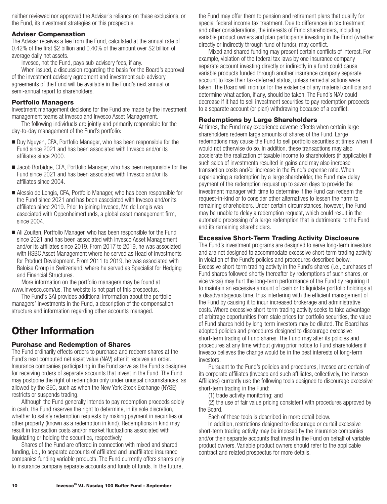<span id="page-12-0"></span>neither reviewed nor approved the Adviser's reliance on these exclusions, or the Fund, its investment strategies or this prospectus.

## **Adviser Compensation**

The Adviser receives a fee from the Fund, calculated at the annual rate of 0.42% of the first \$2 billion and 0.40% of the amount over \$2 billion of average daily net assets.

Invesco, not the Fund, pays sub-advisory fees, if any.

When issued, a discussion regarding the basis for the Board's approval of the investment advisory agreement and investment sub-advisory agreements of the Fund will be available in the Fund's next annual or semi-annual report to shareholders.

## **Portfolio Managers**

Investment management decisions for the Fund are made by the investment management teams at Invesco and Invesco Asset Management.

The following individuals are jointly and primarily responsible for the day-to-day management of the Fund's portfolio:

- Duy Nguyen, CFA, Portfolio Manager, who has been responsible for the Fund since 2021 and has been associated with Invesco and/or its affiliates since 2000.
- Jacob Borbidge, CFA, Portfolio Manager, who has been responsible for the Fund since 2021 and has been associated with Invesco and/or its affiliates since 2004.
- Alessio de Longis, CFA, Portfolio Manager, who has been responsible for the Fund since 2021 and has been associated with Invesco and/or its affiliates since 2019. Prior to joining Invesco, Mr. de Longis was associated with Oppenheimerfunds, a global asset management firm, since 2004.
- Ali Zouiten, Portfolio Manager, who has been responsible for the Fund since 2021 and has been associated with Invesco Asset Management and/or its affiliates since 2019. From 2017 to 2019, he was associated with HSBC Asset Management where he served as Head of Investments for Product Development. From 2011 to 2019, he was associated with Baloise Group in Switzerland, where he served as Specialist for Hedging and Financial Structures.

More information on the portfolio managers may be found at www.invesco.com/us. The website is not part of this prospectus.

The Fund's SAI provides additional information about the portfolio managers' investments in the Fund, a description of the compensation structure and information regarding other accounts managed.

# **Other Information**

## **Purchase and Redemption of Shares**

The Fund ordinarily effects orders to purchase and redeem shares at the Fund's next computed net asset value (NAV) after it receives an order. Insurance companies participating in the Fund serve as the Fund's designee for receiving orders of separate accounts that invest in the Fund. The Fund may postpone the right of redemption only under unusual circumstances, as allowed by the SEC, such as when the New York Stock Exchange (NYSE) restricts or suspends trading.

Although the Fund generally intends to pay redemption proceeds solely in cash, the Fund reserves the right to determine, in its sole discretion, whether to satisfy redemption requests by making payment in securities or other property (known as a redemption in kind). Redemptions in kind may result in transaction costs and/or market fluctuations associated with liquidating or holding the securities, respectively.

Shares of the Fund are offered in connection with mixed and shared funding, i.e., to separate accounts of affiliated and unaffiliated insurance companies funding variable products. The Fund currently offers shares only to insurance company separate accounts and funds of funds. In the future,

the Fund may offer them to pension and retirement plans that qualify for special federal income tax treatment. Due to differences in tax treatment and other considerations, the interests of Fund shareholders, including variable product owners and plan participants investing in the Fund (whether directly or indirectly through fund of funds), may conflict.

Mixed and shared funding may present certain conflicts of interest. For example, violation of the federal tax laws by one insurance company separate account investing directly or indirectly in a fund could cause variable products funded through another insurance company separate account to lose their tax-deferred status, unless remedial actions were taken. The Board will monitor for the existence of any material conflicts and determine what action, if any, should be taken. The Fund's NAV could decrease if it had to sell investment securities to pay redemption proceeds to a separate account (or plan) withdrawing because of a conflict.

## **Redemptions by Large Shareholders**

At times, the Fund may experience adverse effects when certain large shareholders redeem large amounts of shares of the Fund. Large redemptions may cause the Fund to sell portfolio securities at times when it would not otherwise do so. In addition, these transactions may also accelerate the realization of taxable income to shareholders (if applicable) if such sales of investments resulted in gains and may also increase transaction costs and/or increase in the Fund's expense ratio. When experiencing a redemption by a large shareholder, the Fund may delay payment of the redemption request up to seven days to provide the investment manager with time to determine if the Fund can redeem the request-in-kind or to consider other alternatives to lessen the harm to remaining shareholders. Under certain circumstances, however, the Fund may be unable to delay a redemption request, which could result in the automatic processing of a large redemption that is detrimental to the Fund and its remaining shareholders.

## **Excessive Short-Term Trading Activity Disclosure**

The Fund's investment programs are designed to serve long-term investors and are not designed to accommodate excessive short-term trading activity in violation of the Fund's policies and procedures described below. Excessive short-term trading activity in the Fund's shares (i.e., purchases of Fund shares followed shortly thereafter by redemptions of such shares, or vice versa) may hurt the long-term performance of the Fund by requiring it to maintain an excessive amount of cash or to liquidate portfolio holdings at a disadvantageous time, thus interfering with the efficient management of the Fund by causing it to incur increased brokerage and administrative costs. Where excessive short-term trading activity seeks to take advantage of arbitrage opportunities from stale prices for portfolio securities, the value of Fund shares held by long-term investors may be diluted. The Board has adopted policies and procedures designed to discourage excessive short-term trading of Fund shares. The Fund may alter its policies and procedures at any time without giving prior notice to Fund shareholders if Invesco believes the change would be in the best interests of long-term investors.

Pursuant to the Fund's policies and procedures, Invesco and certain of its corporate affiliates (Invesco and such affiliates, collectively, the Invesco Affiliates) currently use the following tools designed to discourage excessive short-term trading in the Fund:

(1) trade activity monitoring; and

(2) the use of fair value pricing consistent with procedures approved by the Board.

Each of these tools is described in more detail below.

In addition, restrictions designed to discourage or curtail excessive short-term trading activity may be imposed by the insurance companies and/or their separate accounts that invest in the Fund on behalf of variable product owners. Variable product owners should refer to the applicable contract and related prospectus for more details.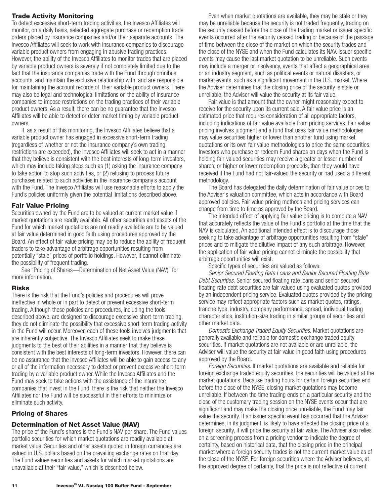## <span id="page-13-0"></span>**Trade Activity Monitoring**

To detect excessive short-term trading activities, the Invesco Affiliates will monitor, on a daily basis, selected aggregate purchase or redemption trade orders placed by insurance companies and/or their separate accounts. The Invesco Affiliates will seek to work with insurance companies to discourage variable product owners from engaging in abusive trading practices. However, the ability of the Invesco Affiliates to monitor trades that are placed by variable product owners is severely if not completely limited due to the fact that the insurance companies trade with the Fund through omnibus accounts, and maintain the exclusive relationship with, and are responsible for maintaining the account records of, their variable product owners. There may also be legal and technological limitations on the ability of insurance companies to impose restrictions on the trading practices of their variable product owners. As a result, there can be no guarantee that the Invesco Affiliates will be able to detect or deter market timing by variable product owners.

If, as a result of this monitoring, the Invesco Affiliates believe that a variable product owner has engaged in excessive short-term trading (regardless of whether or not the insurance company's own trading restrictions are exceeded), the Invesco Affiliates will seek to act in a manner that they believe is consistent with the best interests of long-term investors, which may include taking steps such as (1) asking the insurance company to take action to stop such activities, or (2) refusing to process future purchases related to such activities in the insurance company's account with the Fund. The Invesco Affiliates will use reasonable efforts to apply the Fund's policies uniformly given the potential limitations described above.

## **Fair Value Pricing**

Securities owned by the Fund are to be valued at current market value if market quotations are readily available. All other securities and assets of the Fund for which market quotations are not readily available are to be valued at fair value determined in good faith using procedures approved by the Board. An effect of fair value pricing may be to reduce the ability of frequent traders to take advantage of arbitrage opportunities resulting from potentially "stale" prices of portfolio holdings. However, it cannot eliminate the possibility of frequent trading.

See "Pricing of Shares—Determination of Net Asset Value (NAV)" for more information.

## **Risks**

There is the risk that the Fund's policies and procedures will prove ineffective in whole or in part to detect or prevent excessive short-term trading. Although these policies and procedures, including the tools described above, are designed to discourage excessive short-term trading, they do not eliminate the possibility that excessive short-term trading activity in the Fund will occur. Moreover, each of these tools involves judgments that are inherently subjective. The Invesco Affiliates seek to make these judgments to the best of their abilities in a manner that they believe is consistent with the best interests of long-term investors. However, there can be no assurance that the Invesco Affiliates will be able to gain access to any or all of the information necessary to detect or prevent excessive short-term trading by a variable product owner. While the Invesco Affiliates and the Fund may seek to take actions with the assistance of the insurance companies that invest in the Fund, there is the risk that neither the Invesco Affiliates nor the Fund will be successful in their efforts to minimize or eliminate such activity.

## **Pricing of Shares**

## **Determination of Net Asset Value (NAV)**

The price of the Fund's shares is the Fund's NAV per share. The Fund values portfolio securities for which market quotations are readily available at market value. Securities and other assets quoted in foreign currencies are valued in U.S. dollars based on the prevailing exchange rates on that day. The Fund values securities and assets for which market quotations are unavailable at their "fair value," which is described below.

Even when market quotations are available, they may be stale or they may be unreliable because the security is not traded frequently, trading on the security ceased before the close of the trading market or issuer specific events occurred after the security ceased trading or because of the passage of time between the close of the market on which the security trades and the close of the NYSE and when the Fund calculates its NAV. Issuer specific events may cause the last market quotation to be unreliable. Such events may include a merger or insolvency, events that affect a geographical area or an industry segment, such as political events or natural disasters, or market events, such as a significant movement in the U.S. market. Where the Adviser determines that the closing price of the security is stale or unreliable, the Adviser will value the security at its fair value.

Fair value is that amount that the owner might reasonably expect to receive for the security upon its current sale. A fair value price is an estimated price that requires consideration of all appropriate factors, including indications of fair value available from pricing services. Fair value pricing involves judgment and a fund that uses fair value methodologies may value securities higher or lower than another fund using market quotations or its own fair value methodologies to price the same securities. Investors who purchase or redeem Fund shares on days when the Fund is holding fair-valued securities may receive a greater or lesser number of shares, or higher or lower redemption proceeds, than they would have received if the Fund had not fair-valued the security or had used a different methodology.

The Board has delegated the daily determination of fair value prices to the Adviser's valuation committee, which acts in accordance with Board approved policies. Fair value pricing methods and pricing services can change from time to time as approved by the Board.

The intended effect of applying fair value pricing is to compute a NAV that accurately reflects the value of the Fund's portfolio at the time that the NAV is calculated. An additional intended effect is to discourage those seeking to take advantage of arbitrage opportunities resulting from "stale" prices and to mitigate the dilutive impact of any such arbitrage. However, the application of fair value pricing cannot eliminate the possibility that arbitrage opportunities will exist.

Specific types of securities are valued as follows:

*Senior Secured Floating Rate Loans and Senior Secured Floating Rate Debt Securities.* Senior secured floating rate loans and senior secured floating rate debt securities are fair valued using evaluated quotes provided by an independent pricing service. Evaluated quotes provided by the pricing service may reflect appropriate factors such as market quotes, ratings, tranche type, industry, company performance, spread, individual trading characteristics, institution-size trading in similar groups of securities and other market data.

*Domestic Exchange Traded Equity Securities.* Market quotations are generally available and reliable for domestic exchange traded equity securities. If market quotations are not available or are unreliable, the Adviser will value the security at fair value in good faith using procedures approved by the Board.

*Foreign Securities.* If market quotations are available and reliable for foreign exchange traded equity securities, the securities will be valued at the market quotations. Because trading hours for certain foreign securities end before the close of the NYSE, closing market quotations may become unreliable. If between the time trading ends on a particular security and the close of the customary trading session on the NYSE events occur that are significant and may make the closing price unreliable, the Fund may fair value the security. If an issuer specific event has occurred that the Adviser determines, in its judgment, is likely to have affected the closing price of a foreign security, it will price the security at fair value. The Adviser also relies on a screening process from a pricing vendor to indicate the degree of certainty, based on historical data, that the closing price in the principal market where a foreign security trades is not the current market value as of the close of the NYSE. For foreign securities where the Adviser believes, at the approved degree of certainty, that the price is not reflective of current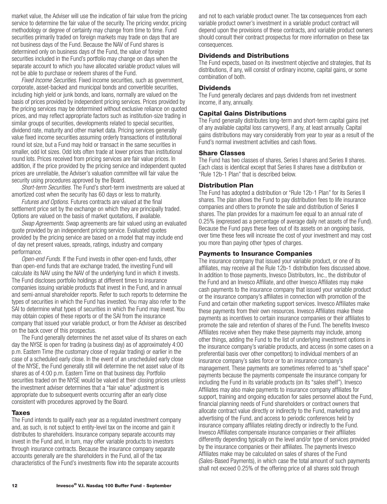<span id="page-14-0"></span>market value, the Adviser will use the indication of fair value from the pricing service to determine the fair value of the security. The pricing vendor, pricing methodology or degree of certainty may change from time to time. Fund securities primarily traded on foreign markets may trade on days that are not business days of the Fund. Because the NAV of Fund shares is determined only on business days of the Fund, the value of foreign securities included in the Fund's portfolio may change on days when the separate account to which you have allocated variable product values will not be able to purchase or redeem shares of the Fund.

*Fixed Income Securities.* Fixed income securities, such as government, corporate, asset-backed and municipal bonds and convertible securities, including high yield or junk bonds, and loans, normally are valued on the basis of prices provided by independent pricing services. Prices provided by the pricing services may be determined without exclusive reliance on quoted prices, and may reflect appropriate factors such as institution-size trading in similar groups of securities, developments related to special securities, dividend rate, maturity and other market data. Pricing services generally value fixed income securities assuming orderly transactions of institutional round lot size, but a Fund may hold or transact in the same securities in smaller, odd lot sizes. Odd lots often trade at lower prices than institutional round lots. Prices received from pricing services are fair value prices. In addition, if the price provided by the pricing service and independent quoted prices are unreliable, the Adviser's valuation committee will fair value the security using procedures approved by the Board.

*Short-term Securities.* The Fund's short-term investments are valued at amortized cost when the security has 60 days or less to maturity.

*Futures and Options.* Futures contracts are valued at the final settlement price set by the exchange on which they are principally traded. Options are valued on the basis of market quotations, if available.

*Swap Agreements.* Swap agreements are fair valued using an evaluated quote provided by an independent pricing service. Evaluated quotes provided by the pricing service are based on a model that may include end of day net present values, spreads, ratings, industry and company performance.

*Open-end Funds.* If the Fund invests in other open-end funds, other than open-end funds that are exchange traded, the investing Fund will calculate its NAV using the NAV of the underlying fund in which it invests. The Fund discloses portfolio holdings at different times to insurance companies issuing variable products that invest in the Fund, and in annual and semi-annual shareholder reports. Refer to such reports to determine the types of securities in which the Fund has invested. You may also refer to the SAI to determine what types of securities in which the Fund may invest. You may obtain copies of these reports or of the SAI from the insurance company that issued your variable product, or from the Adviser as described on the back cover of this prospectus.

The Fund generally determines the net asset value of its shares on each day the NYSE is open for trading (a business day) as of approximately 4:00 p.m. Eastern Time (the customary close of regular trading) or earlier in the case of a scheduled early close. In the event of an unscheduled early close of the NYSE, the Fund generally still will determine the net asset value of its shares as of 4:00 p.m. Eastern Time on that business day. Portfolio securities traded on the NYSE would be valued at their closing prices unless the investment adviser determines that a "fair value" adjustment is appropriate due to subsequent events occurring after an early close consistent with procedures approved by the Board.

#### **Taxes**

The Fund intends to qualify each year as a regulated investment company and, as such, is not subject to entity-level tax on the income and gain it distributes to shareholders. Insurance company separate accounts may invest in the Fund and, in turn, may offer variable products to investors through insurance contracts. Because the insurance company separate accounts generally are the shareholders in the Fund, all of the tax characteristics of the Fund's investments flow into the separate accounts

and not to each variable product owner. The tax consequences from each variable product owner's investment in a variable product contract will depend upon the provisions of these contracts, and variable product owners should consult their contract prospectus for more information on these tax consequences.

### **Dividends and Distributions**

The Fund expects, based on its investment objective and strategies, that its distributions, if any, will consist of ordinary income, capital gains, or some combination of both.

### **Dividends**

The Fund generally declares and pays dividends from net investment income, if any, annually.

### **Capital Gains Distributions**

The Fund generally distributes long-term and short-term capital gains (net of any available capital loss carryovers), if any, at least annually. Capital gains distributions may vary considerably from year to year as a result of the Fund's normal investment activities and cash flows.

### **Share Classes**

The Fund has two classes of shares, Series I shares and Series II shares. Each class is identical except that Series II shares have a distribution or "Rule 12b-1 Plan" that is described below.

### **Distribution Plan**

The Fund has adopted a distribution or "Rule 12b-1 Plan" for its Series II shares. The plan allows the Fund to pay distribution fees to life insurance companies and others to promote the sale and distribution of Series II shares. The plan provides for a maximum fee equal to an annual rate of 0.25% (expressed as a percentage of average daily net assets of the Fund). Because the Fund pays these fees out of its assets on an ongoing basis, over time these fees will increase the cost of your investment and may cost you more than paying other types of charges.

#### **Payments to Insurance Companies**

The insurance company that issued your variable product, or one of its affiliates, may receive all the Rule 12b-1 distribution fees discussed above. In addition to those payments, Invesco Distributors, Inc., the distributor of the Fund and an Invesco Affiliate, and other Invesco Affiliates may make cash payments to the insurance company that issued your variable product or the insurance company's affiliates in connection with promotion of the Fund and certain other marketing support services. Invesco Affiliates make these payments from their own resources. Invesco Affiliates make these payments as incentives to certain insurance companies or their affiliates to promote the sale and retention of shares of the Fund. The benefits Invesco Affiliates receive when they make these payments may include, among other things, adding the Fund to the list of underlying investment options in the insurance company's variable products, and access (in some cases on a preferential basis over other competitors) to individual members of an insurance company's sales force or to an insurance company's management. These payments are sometimes referred to as "shelf space" payments because the payments compensate the insurance company for including the Fund in its variable products (on its "sales shelf"). Invesco Affiliates may also make payments to insurance company affiliates for support, training and ongoing education for sales personnel about the Fund, financial planning needs of Fund shareholders or contract owners that allocate contract value directly or indirectly to the Fund, marketing and advertising of the Fund, and access to periodic conferences held by insurance company affiliates relating directly or indirectly to the Fund. Invesco Affiliates compensate insurance companies or their affiliates differently depending typically on the level and/or type of services provided by the insurance companies or their affiliates. The payments Invesco Affiliates make may be calculated on sales of shares of the Fund (Sales-Based Payments), in which case the total amount of such payments shall not exceed 0.25% of the offering price of all shares sold through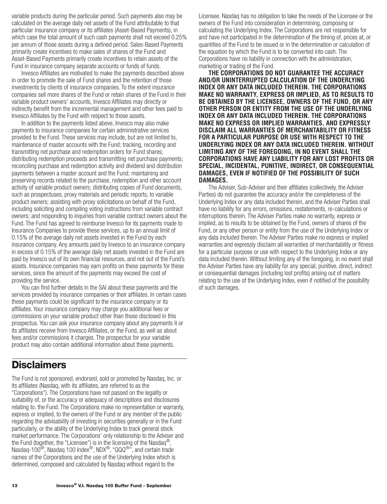<span id="page-15-0"></span>variable products during the particular period. Such payments also may be calculated on the average daily net assets of the Fund attributable to that particular insurance company or its affiliates (Asset-Based Payments), in which case the total amount of such cash payments shall not exceed 0.25% per annum of those assets during a defined period. Sales-Based Payments primarily create incentives to make sales of shares of the Fund and Asset-Based Payments primarily create incentives to retain assets of the Fund in insurance company separate accounts or funds of funds.

Invesco Affiliates are motivated to make the payments described above in order to promote the sale of Fund shares and the retention of those investments by clients of insurance companies. To the extent insurance companies sell more shares of the Fund or retain shares of the Fund in their variable product owners' accounts, Invesco Affiliates may directly or indirectly benefit from the incremental management and other fees paid to Invesco Affiliates by the Fund with respect to those assets.

In addition to the payments listed above, Invesco may also make payments to insurance companies for certain administrative services provided to the Fund. These services may include, but are not limited to, maintenance of master accounts with the Fund; tracking, recording and transmitting net purchase and redemption orders for Fund shares; distributing redemption proceeds and transmitting net purchase payments; reconciling purchase and redemption activity and dividend and distribution payments between a master account and the Fund; maintaining and preserving records related to the purchase, redemption and other account activity of variable product owners; distributing copies of Fund documents, such as prospectuses, proxy materials and periodic reports, to variable product owners; assisting with proxy solicitations on behalf of the Fund, including soliciting and compiling voting instructions from variable contract owners; and responding to inquiries from variable contract owners about the Fund. The Fund has agreed to reimburse Invesco for its payments made to Insurance Companies to provide these services, up to an annual limit of 0.15% of the average daily net assets invested in the Fund by each insurance company. Any amounts paid by Invesco to an insurance company in excess of 0.15% of the average daily net assets invested in the Fund are paid by Invesco out of its own financial resources, and not out of the Fund's assets. Insurance companies may earn profits on these payments for these services, since the amount of the payments may exceed the cost of providing the service.

You can find further details in the SAI about these payments and the services provided by insurance companies or their affiliates. In certain cases these payments could be significant to the insurance company or its affiliates. Your insurance company may charge you additional fees or commissions on your variable product other than those disclosed in this prospectus. You can ask your insurance company about any payments it or its affiliates receive from Invesco Affiliates, or the Fund, as well as about fees and/or commissions it charges. The prospectus for your variable product may also contain additional information about these payments.

## **Disclaimers**

The Fund is not sponsored, endorsed, sold or promoted by Nasdaq, Inc. or its affiliates (Nasdaq, with its affiliates, are referred to as the "Corporations"). The Corporations have not passed on the legality or suitability of, or the accuracy or adequacy of descriptions and disclosures relating to, the Fund. The Corporations make no representation or warranty, express or implied, to the owners of the Fund or any member of the public regarding the advisability of investing in securities generally or in the Fund particularly, or the ability of the Underlying Index to track general stock market performance. The Corporations' only relationship to the Adviser and the Fund (together, the "Licensee") is in the licensing of the Nasdaq<sup>®</sup>, Nasdaq-100®, Nasdaq 100 Index®, NDX®, "QQQ®", and certain trade names of the Corporations and the use of the Underlying Index which is determined, composed and calculated by Nasdaq without regard to the

Licensee. Nasdaq has no obligation to take the needs of the Licensee or the owners of the Fund into consideration in determining, composing or calculating the Underlying Index. The Corporations are not responsible for and have not participated in the determination of the timing of, prices at, or quantities of the Fund to be issued or in the determination or calculation of the equation by which the Fund is to be converted into cash. The Corporations have no liability in connection with the administration, marketing or trading of the Fund.

**THE CORPORATIONS DO NOT GUARANTEE THE ACCURACY AND/OR UNINTERRUPTED CALCULATION OF THE UNDERLYING INDEX OR ANY DATA INCLUDED THEREIN. THE CORPORATIONS MAKE NO WARRANTY, EXPRESS OR IMPLIED, AS TO RESULTS TO BE OBTAINED BY THE LICENSEE, OWNERS OF THE FUND, OR ANY OTHER PERSON OR ENTITY FROM THE USE OF THE UNDERLYING INDEX OR ANY DATA INCLUDED THEREIN. THE CORPORATIONS MAKE NO EXPRESS OR IMPLIED WARRANTIES, AND EXPRESSLY DISCLAIM ALL WARRANTIES OF MERCHANTABILITY OR FITNESS FOR A PARTICULAR PURPOSE OR USE WITH RESPECT TO THE UNDERLYING INDEX OR ANY DATA INCLUDED THEREIN. WITHOUT LIMITING ANY OF THE FOREGOING, IN NO EVENT SHALL THE CORPORATIONS HAVE ANY LIABILITY FOR ANY LOST PROFITS OR SPECIAL, INCIDENTAL, PUNITIVE, INDIRECT, OR CONSEQUENTIAL DAMAGES, EVEN IF NOTIFIED OF THE POSSIBILITY OF SUCH DAMAGES.**

The Adviser, Sub-Adviser and their affiliates (collectively, the Adviser Parties) do not guarantee the accuracy and/or the completeness of the Underlying Index or any data included therein, and the Adviser Parties shall have no liability for any errors, omissions, restatements, re-calculations or interruptions therein. The Adviser Parties make no warranty, express or implied, as to results to be obtained by the Fund, owners of shares of the Fund, or any other person or entity from the use of the Underlying Index or any data included therein. The Adviser Parties make no express or implied warranties and expressly disclaim all warranties of merchantability or fitness for a particular purpose or use with respect to the Underlying Index or any data included therein. Without limiting any of the foregoing, in no event shall the Adviser Parties have any liability for any special, punitive, direct, indirect or consequential damages (including lost profits) arising out of matters relating to the use of the Underlying Index, even if notified of the possibility of such damages.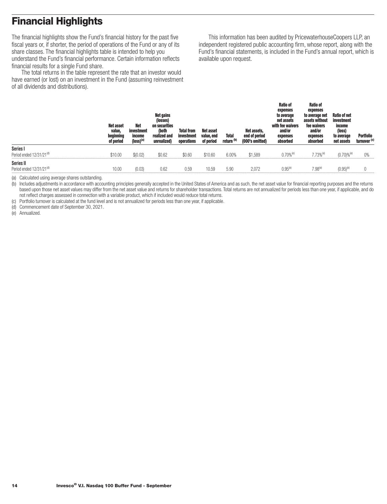# <span id="page-16-0"></span>**Financial Highlights**

The financial highlights show the Fund's financial history for the past five fiscal years or, if shorter, the period of operations of the Fund or any of its share classes. The financial highlights table is intended to help you understand the Fund's financial performance. Certain information reflects financial results for a single Fund share.

The total returns in the table represent the rate that an investor would have earned (or lost) on an investment in the Fund (assuming reinvestment of all dividends and distributions).

This information has been audited by PricewaterhouseCoopers LLP, an independent registered public accounting firm, whose report, along with the Fund's financial statements, is included in the Fund's annual report, which is available upon request.

|                                                   | <b>Net asset</b><br>value,<br>beginning<br>of period | <b>Net</b><br>investment<br>income<br>$(logs)$ <sup>(a)</sup> | Net gains<br>(losses)<br>on securities<br>(both<br>realized and<br>unrealized) | <b>Total from</b><br>investment<br>operations | Net asset<br>value, end<br>of period | <b>Total</b><br>return <sup>(b)</sup> | Net assets.<br>end of period<br>(000's omitted) | <b>Ratio of</b><br>expenses<br>to average<br>net assets<br>with fee waivers<br>and/or<br>expenses<br>absorbed | <b>Ratio of</b><br>expenses<br>to average net<br>assets without<br>fee waivers<br>and/or<br>expenses<br>absorbed | Ratio of net<br>investment<br>income<br>(loss)<br>to average<br>net assets | Portfolio<br>turnover <sup>(c)</sup> |
|---------------------------------------------------|------------------------------------------------------|---------------------------------------------------------------|--------------------------------------------------------------------------------|-----------------------------------------------|--------------------------------------|---------------------------------------|-------------------------------------------------|---------------------------------------------------------------------------------------------------------------|------------------------------------------------------------------------------------------------------------------|----------------------------------------------------------------------------|--------------------------------------|
| Series I                                          |                                                      |                                                               |                                                                                |                                               |                                      |                                       |                                                 |                                                                                                               |                                                                                                                  |                                                                            |                                      |
| Period ended 12/31/21 <sup>(d)</sup>              | \$10.00                                              | \$(0.02)                                                      | \$0.62                                                                         | \$0.60                                        | \$10.60                              | 6.00%                                 | \$1.589                                         | $0.70%$ <sup>(e)</sup>                                                                                        | $7.73%$ <sup>(e)</sup>                                                                                           | $(0.70)$ % <sup>(e)</sup>                                                  | 0%                                   |
| Series II<br>Period ended 12/31/21 <sup>(d)</sup> | 10.00                                                | (0.03)                                                        | 0.62                                                                           | 0.59                                          | 10.59                                | 5.90                                  | 2.072                                           | $0.95^{(e)}$                                                                                                  | $7.98^{\text{\tiny{(e)}}}$                                                                                       | $(0.95)^{6}$                                                               |                                      |

(a) Calculated using average shares outstanding.

(b) Includes adjustments in accordance with accounting principles generally accepted in the United States of America and as such, the net asset value for financial reporting purposes and the returns based upon those net asset values may differ from the net asset value and returns for shareholder transactions. Total returns are not annualized for periods less than one year, if applicable, and do not reflect charges assessed in connection with a variable product, which if included would reduce total returns.

(c) Portfolio turnover is calculated at the fund level and is not annualized for periods less than one year, if applicable.

(d) Commencement date of September 30, 2021.

(e) Annualized.